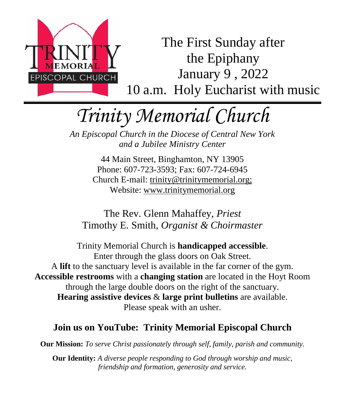

# *Trinity Memorial Church*

*An Episcopal Church in the Diocese of Central New York and a Jubilee Ministry Center*

> 44 Main Street, Binghamton, NY 13905 Phone: 607-723-3593; Fax: 607-724-6945 Church E-mail: trinity@trinitymemorial.org; Website: www.trinitymemorial.org

The Rev. Glenn Mahaffey, *Priest* Timothy E. Smith, *Organist & Choirmaster* 

Trinity Memorial Church is **handicapped accessible**. Enter through the glass doors on Oak Street. A **lift** to the sanctuary level is available in the far corner of the gym. **Accessible restrooms** with a **changing station** are located in the Hoyt Room through the large double doors on the right of the sanctuary. **Hearing assistive devices** & **large print bulletins** are available. Please speak with an usher.

### **Join us on YouTube: Trinity Memorial Episcopal Church**

**Our Mission:** *To serve Christ passionately through self, family, parish and community.*

**Our Identity:** *A diverse people responding to God through worship and music, friendship and formation, generosity and service.*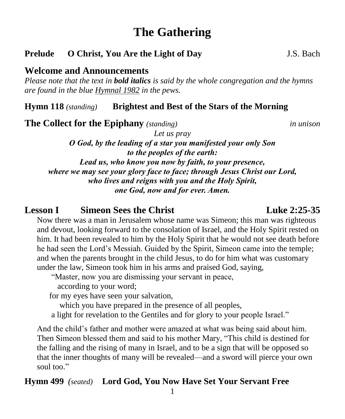# **The Gathering**

#### **Prelude O Christ, You Are the Light of Day** J.S. Bach

#### **Welcome and Announcements**

*Please note that the text in bold italics is said by the whole congregation and the hymns are found in the blue Hymnal 1982 in the pews.*

**Hymn 118** *(standing)* **Brightest and Best of the Stars of the Morning**

**The Collect for the Epiphany** *(standing) in unison*

*Let us pray*

*O God, by the leading of a star you manifested your only Son to the peoples of the earth: Lead us, who know you now by faith, to your presence, where we may see your glory face to face; through Jesus Christ our Lord, who lives and reigns with you and the Holy Spirit, one God, now and for ever. Amen.*

#### **Lesson I Simeon Sees the Christ Luke 2:25-35**

Now there was a man in Jerusalem whose name was Simeon; this man was righteous and devout, looking forward to the consolation of Israel, and the Holy Spirit rested on him. It had been revealed to him by the Holy Spirit that he would not see death before he had seen the Lord's Messiah. Guided by the Spirit, Simeon came into the temple; and when the parents brought in the child Jesus, to do for him what was customary under the law, Simeon took him in his arms and praised God, saying,

"Master, now you are dismissing your servant in peace,

according to your word;

for my eyes have seen your salvation,

which you have prepared in the presence of all peoples,

a light for revelation to the Gentiles and for glory to your people Israel."

And the child's father and mother were amazed at what was being said about him. Then Simeon blessed them and said to his mother Mary, "This child is destined for the falling and the rising of many in Israel, and to be a sign that will be opposed so that the inner thoughts of many will be revealed—and a sword will pierce your own soul too."

#### **Hymn 499** *(seated)* **Lord God, You Now Have Set Your Servant Free**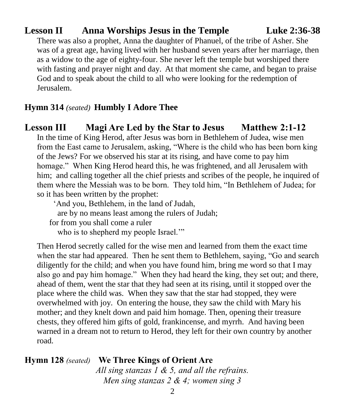# **Lesson II Anna Worships Jesus in the Temple Luke 2:36-38**

There was also a prophet, Anna the daughter of Phanuel, of the tribe of Asher. She was of a great age, having lived with her husband seven years after her marriage, then as a widow to the age of eighty-four. She never left the temple but worshiped there with fasting and prayer night and day. At that moment she came, and began to praise God and to speak about the child to all who were looking for the redemption of Jerusalem.

#### **Hymn 314** *(seated)* **Humbly I Adore Thee**

#### **Lesson III Magi Are Led by the Star to Jesus Matthew 2:1-12**

In the time of King Herod, after Jesus was born in Bethlehem of Judea, wise men from the East came to Jerusalem, asking, "Where is the child who has been born king of the Jews? For we observed his star at its rising, and have come to pay him homage." When King Herod heard this, he was frightened, and all Jerusalem with him; and calling together all the chief priests and scribes of the people, he inquired of them where the Messiah was to be born. They told him, "In Bethlehem of Judea; for so it has been written by the prophet:

 'And you, Bethlehem, in the land of Judah, are by no means least among the rulers of Judah; for from you shall come a ruler who is to shepherd my people Israel."

Then Herod secretly called for the wise men and learned from them the exact time when the star had appeared. Then he sent them to Bethlehem, saying, "Go and search diligently for the child; and when you have found him, bring me word so that I may also go and pay him homage." When they had heard the king, they set out; and there, ahead of them, went the star that they had seen at its rising, until it stopped over the place where the child was. When they saw that the star had stopped, they were overwhelmed with joy. On entering the house, they saw the child with Mary his mother; and they knelt down and paid him homage. Then, opening their treasure chests, they offered him gifts of gold, frankincense, and myrrh. And having been warned in a dream not to return to Herod, they left for their own country by another road.

#### **Hymn 128** *(seated)* **We Three Kings of Orient Are**

*All sing stanzas 1 & 5, and all the refrains. Men sing stanzas 2 & 4; women sing 3*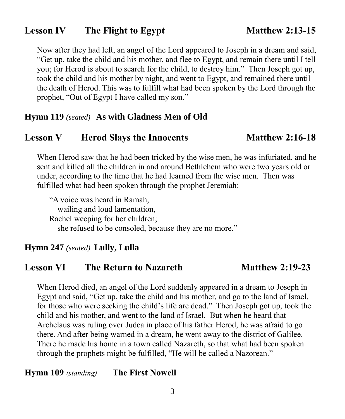#### **Lesson IV** The Flight to Egypt **Matthew 2:13-15**

Now after they had left, an angel of the Lord appeared to Joseph in a dream and said, "Get up, take the child and his mother, and flee to Egypt, and remain there until I tell you; for Herod is about to search for the child, to destroy him." Then Joseph got up, took the child and his mother by night, and went to Egypt, and remained there until the death of Herod. This was to fulfill what had been spoken by the Lord through the prophet, "Out of Egypt I have called my son."

#### **Hymn 119** *(seated)* **As with Gladness Men of Old**

### **Lesson V** Herod Slays the Innocents **Matthew 2:16-18**

When Herod saw that he had been tricked by the wise men, he was infuriated, and he sent and killed all the children in and around Bethlehem who were two years old or under, according to the time that he had learned from the wise men. Then was fulfilled what had been spoken through the prophet Jeremiah:

"A voice was heard in Ramah, wailing and loud lamentation, Rachel weeping for her children; she refused to be consoled, because they are no more."

### **Hymn 247** *(seated)* **Lully, Lulla**

# **Lesson VI The Return to Nazareth Matthew 2:19-23**

When Herod died, an angel of the Lord suddenly appeared in a dream to Joseph in Egypt and said, "Get up, take the child and his mother, and go to the land of Israel, for those who were seeking the child's life are dead." Then Joseph got up, took the child and his mother, and went to the land of Israel. But when he heard that Archelaus was ruling over Judea in place of his father Herod, he was afraid to go there. And after being warned in a dream, he went away to the district of Galilee. There he made his home in a town called Nazareth, so that what had been spoken through the prophets might be fulfilled, "He will be called a Nazorean."

**Hymn 109** *(standing)* **The First Nowell**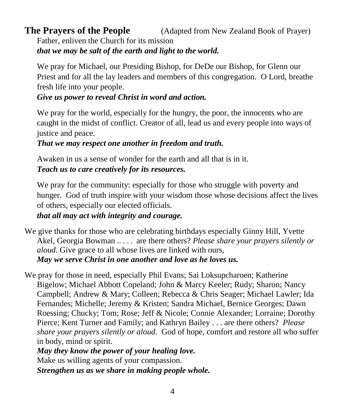#### **The Prayers of the People** (Adapted from New Zealand Book of Prayer) Father, enliven the Church for its mission *that we may be salt of the earth and light to the world.*

We pray for Michael, our Presiding Bishop, for DeDe our Bishop, for Glenn our Priest and for all the lay leaders and members of this congregation. O Lord, breathe fresh life into your people.

*Give us power to reveal Christ in word and action.*

We pray for the world, especially for the hungry, the poor, the innocents who are caught in the midst of conflict. Creator of all, lead us and every people into ways of justice and peace.

#### *That we may respect one another in freedom and truth.*

Awaken in us a sense of wonder for the earth and all that is in it. *Teach us to care creatively for its resources.*

We pray for the community: especially for those who struggle with poverty and hunger. God of truth inspire with your wisdom those whose decisions affect the lives of others, especially our elected officials.

#### *that all may act with integrity and courage.*

- We give thanks for those who are celebrating birthdays especially Ginny Hill, Yvette Akel, Georgia Bowman .. . . . are there others? *Please share your prayers silently or aloud.* Give grace to all whose lives are linked with ours, *May we serve Christ in one another and love as he loves us.*
- We pray for those in need, especially Phil Evans; Sai Loksupcharoen; Katherine Bigelow; Michael Abbott Copeland; John & Marcy Keeler; Rudy; Sharon; Nancy Campbell; Andrew & Mary; Colleen; Rebecca & Chris Seager; Michael Lawler; Ida Fernandes; Michelle; Jeremy & Kristen; Sandra Michael, Bernice Georges; Dawn Roessing; Chucky; Tom; Rose; Jeff & Nicole; Connie Alexander; Lorraine; Dorothy Pierce; Kent Turner and Family; and Kathryn Bailey . . . are there others? *Please share your prayers silently or aloud.* God of hope, comfort and restore all who suffer in body, mind or spirit.

*May they know the power of your healing love.*

Make us willing agents of your compassion.

*Strengthen us as we share in making people whole.*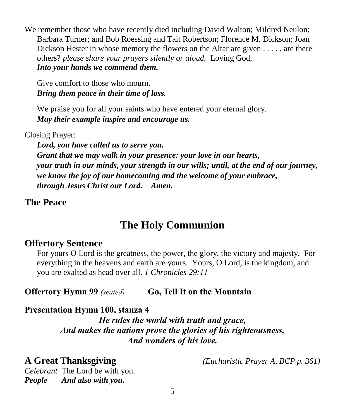We remember those who have recently died including David Walton; Mildred Neulon; Barbara Turner; and Bob Roessing and Tait Robertson; Florence M. Dickson; Joan Dickson Hester in whose memory the flowers on the Altar are given . . . . . are there others? *please share your prayers silently or aloud.* Loving God, *Into your hands we commend them.*

Give comfort to those who mourn. *Bring them peace in their time of loss.*

We praise you for all your saints who have entered your eternal glory. *May their example inspire and encourage us.*

Closing Prayer:

*Lord, you have called us to serve you. Grant that we may walk in your presence: your love in our hearts, your truth in our minds, your strength in our wills; until, at the end of our journey, we know the joy of our homecoming and the welcome of your embrace, through Jesus Christ our Lord. Amen.*

**The Peace**

# **The Holy Communion**

#### **Offertory Sentence**

For yours O Lord is the greatness, the power, the glory, the victory and majesty. For everything in the heavens and earth are yours. Yours, O Lord, is the kingdom, and you are exalted as head over all. *1 Chronicles 29:11*

**Offertory Hymn 99** *(seated)* **Go, Tell It on the Mountain**

#### **Presentation Hymn 100, stanza 4**

*He rules the world with truth and grace, And makes the nations prove the glories of his righteousness, And wonders of his love.*

**A Great Thanksgiving** *(Eucharistic Prayer A, BCP p. 361)*

*Celebrant* The Lord be with you. *People And also with you***.**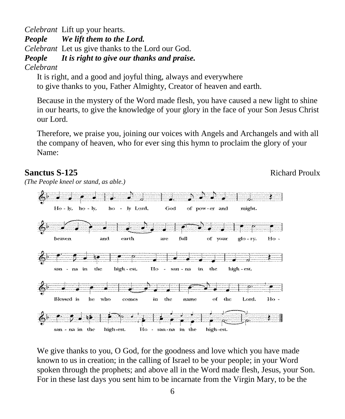*Celebrant* Lift up your hearts.

*People We lift them to the Lord.*

*Celebrant* Let us give thanks to the Lord our God.

*People It is right to give our thanks and praise.*

#### *Celebrant*

It is right, and a good and joyful thing, always and everywhere to give thanks to you, Father Almighty, Creator of heaven and earth.

Because in the mystery of the Word made flesh, you have caused a new light to shine in our hearts, to give the knowledge of your glory in the face of your Son Jesus Christ our Lord.

Therefore, we praise you, joining our voices with Angels and Archangels and with all the company of heaven, who for ever sing this hymn to proclaim the glory of your Name:

#### **Sanctus S-125** Richard Proulx



We give thanks to you, O God, for the goodness and love which you have made known to us in creation; in the calling of Israel to be your people; in your Word spoken through the prophets; and above all in the Word made flesh, Jesus, your Son. For in these last days you sent him to be incarnate from the Virgin Mary, to be the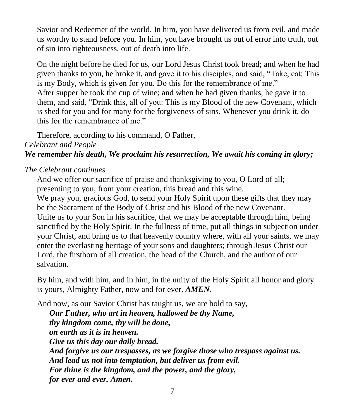Savior and Redeemer of the world. In him, you have delivered us from evil, and made us worthy to stand before you. In him, you have brought us out of error into truth, out of sin into righteousness, out of death into life.

On the night before he died for us, our Lord Jesus Christ took bread; and when he had given thanks to you, he broke it, and gave it to his disciples, and said, "Take, eat: This is my Body, which is given for you. Do this for the remembrance of me." After supper he took the cup of wine; and when he had given thanks, he gave it to them, and said, "Drink this, all of you: This is my Blood of the new Covenant, which is shed for you and for many for the forgiveness of sins. Whenever you drink it, do this for the remembrance of me."

Therefore, according to his command, O Father,

#### *Celebrant and People*

#### *We remember his death, We proclaim his resurrection, We await his coming in glory;*

#### *The Celebrant continues*

And we offer our sacrifice of praise and thanksgiving to you, O Lord of all; presenting to you, from your creation, this bread and this wine.

We pray you, gracious God, to send your Holy Spirit upon these gifts that they may be the Sacrament of the Body of Christ and his Blood of the new Covenant. Unite us to your Son in his sacrifice, that we may be acceptable through him, being sanctified by the Holy Spirit. In the fullness of time, put all things in subjection under your Christ, and bring us to that heavenly country where, with all your saints, we may enter the everlasting heritage of your sons and daughters; through Jesus Christ our Lord, the firstborn of all creation, the head of the Church, and the author of our salvation.

By him, and with him, and in him, in the unity of the Holy Spirit all honor and glory is yours, Almighty Father, now and for ever. *AMEN***.**

And now, as our Savior Christ has taught us, we are bold to say,

*Our Father, who art in heaven, hallowed be thy Name, thy kingdom come, thy will be done, on earth as it is in heaven. Give us this day our daily bread. And forgive us our trespasses, as we forgive those who trespass against us. And lead us not into temptation, but deliver us from evil. For thine is the kingdom, and the power, and the glory, for ever and ever. Amen.*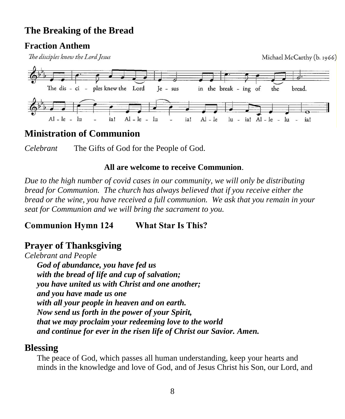# **The Breaking of the Bread**

#### **Fraction Anthem**

The disciples knew the Lord Jesus



# **Ministration of Communion**

*Celebrant* The Gifts of God for the People of God.

#### **All are welcome to receive Communion**.

*Due to the high number of covid cases in our community, we will only be distributing bread for Communion. The church has always believed that if you receive either the bread or the wine, you have received a full communion. We ask that you remain in your seat for Communion and we will bring the sacrament to you.* 

**Communion Hymn 124 What Star Is This?**

# **Prayer of Thanksgiving**

*Celebrant and People God of abundance, you have fed us with the bread of life and cup of salvation; you have united us with Christ and one another; and you have made us one with all your people in heaven and on earth. Now send us forth in the power of your Spirit, that we may proclaim your redeeming love to the world and continue for ever in the risen life of Christ our Savior. Amen.*

### **Blessing**

The peace of God, which passes all human understanding, keep your hearts and minds in the knowledge and love of God, and of Jesus Christ his Son, our Lord, and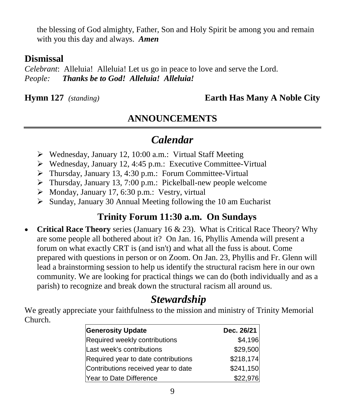the blessing of God almighty, Father, Son and Holy Spirit be among you and remain with you this day and always. *Amen*

#### **Dismissal**

*Celebrant*: Alleluia! Alleluia! Let us go in peace to love and serve the Lord. *People: Thanks be to God! Alleluia! Alleluia!*

#### **Hymn 127** *(standing)* **Earth Has Many A Noble City**

## **ANNOUNCEMENTS**

# *Calendar*

- ➢ Wednesday, January 12, 10:00 a.m.: Virtual Staff Meeting
- ➢ Wednesday, January 12, 4:45 p.m.: Executive Committee-Virtual
- ➢ Thursday, January 13, 4:30 p.m.: Forum Committee-Virtual
- ➢ Thursday, January 13, 7:00 p.m.: Pickelball-new people welcome
- ➢ Monday, January 17, 6:30 p.m.: Vestry, virtual
- $\triangleright$  Sunday, January 30 Annual Meeting following the 10 am Eucharist

# **Trinity Forum 11:30 a.m. On Sundays**

• **Critical Race Theory** series (January 16 & 23). What is Critical Race Theory? Why are some people all bothered about it? On Jan. 16, Phyllis Amenda will present a forum on what exactly CRT is (and isn't) and what all the fuss is about. Come prepared with questions in person or on Zoom. On Jan. 23, Phyllis and Fr. Glenn will lead a brainstorming session to help us identify the structural racism here in our own community. We are looking for practical things we can do (both individually and as a parish) to recognize and break down the structural racism all around us.

# *Stewardship*

We greatly appreciate your faithfulness to the mission and ministry of Trinity Memorial Church.

| <b>Generosity Update</b>            | Dec. 26/21 |
|-------------------------------------|------------|
| Required weekly contributions       | \$4,196    |
| Last week's contributions           | \$29,500   |
| Required year to date contributions | \$218,174  |
| Contributions received year to date | \$241,150  |
| Year to Date Difference             | \$22,976   |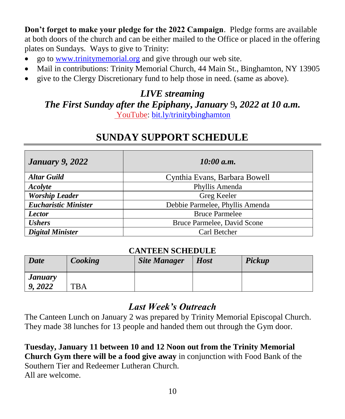**Don't forget to make your pledge for the 2022 Campaign**. Pledge forms are available at both doors of the church and can be either mailed to the Office or placed in the offering plates on Sundays. Ways to give to Trinity:

- go to [www.trinitymemorial.org](http://www.trinitymemorial.org/) and give through our web site.
- Mail in contributions: Trinity Memorial Church, 44 Main St., Binghamton, NY 13905
- give to the Clergy Discretionary fund to help those in need. (same as above).

#### *LIVE streaming The First Sunday after the Epiphany***,** *January* 9*, 2022 at 10 a.m.* [YouTube:](https://bit.ly/trinitybinghamton) [bit.ly/trinitybinghamton](https://bit.ly/trinitybinghamton)

# **SUNDAY SUPPORT SCHEDULE**

| <b>January 9, 2022</b>      | 10:00 a.m.                      |  |  |
|-----------------------------|---------------------------------|--|--|
| <b>Altar Guild</b>          | Cynthia Evans, Barbara Bowell   |  |  |
| Acolyte                     | Phyllis Amenda                  |  |  |
| <b>Worship Leader</b>       | Greg Keeler                     |  |  |
| <b>Eucharistic Minister</b> | Debbie Parmelee, Phyllis Amenda |  |  |
| <b>Lector</b>               | <b>Bruce Parmelee</b>           |  |  |
| <b>Ushers</b>               | Bruce Parmelee, David Scone     |  |  |
| <b>Digital Minister</b>     | Carl Betcher                    |  |  |

#### **CANTEEN SCHEDULE**

| Date                             | Cooking    | <b>Site Manager</b> | <b>Host</b> | Pickup |
|----------------------------------|------------|---------------------|-------------|--------|
| <b><i>January</i></b><br>9, 2022 | <b>TBA</b> |                     |             |        |

# *Last Week's Outreach*

The Canteen Lunch on January 2 was prepared by Trinity Memorial Episcopal Church. They made 38 lunches for 13 people and handed them out through the Gym door.

**Tuesday, January 11 between 10 and 12 Noon out from the Trinity Memorial Church Gym there will be a food give away** in conjunction with Food Bank of the Southern Tier and Redeemer Lutheran Church. All are welcome.